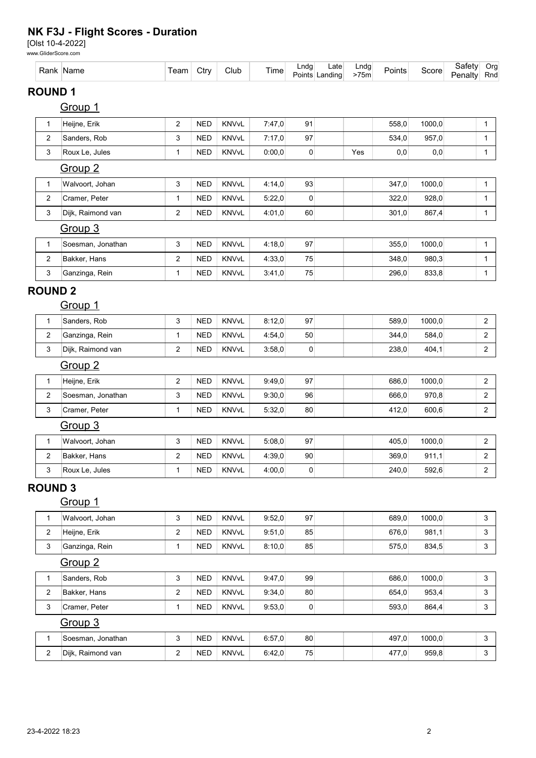## NK F3J - Flight Scores - Duration

[Olst 10-4-2022]

|                |                         | www.GliderScore.com |                         |            |              |        |                  |                        |              |        |        |                   |                |
|----------------|-------------------------|---------------------|-------------------------|------------|--------------|--------|------------------|------------------------|--------------|--------|--------|-------------------|----------------|
|                |                         | Rank Name           | Team                    | Ctry       | Club         | Time   | Lndg             | Late<br>Points Landing | Lndg<br>>75m | Points | Score  | Safety<br>Penalty | Org<br>Rnd     |
| <b>ROUND1</b>  |                         |                     |                         |            |              |        |                  |                        |              |        |        |                   |                |
|                |                         | Group 1             |                         |            |              |        |                  |                        |              |        |        |                   |                |
|                | 1                       | Heijne, Erik        | $\overline{2}$          | <b>NED</b> | <b>KNVvL</b> | 7:47,0 | 91               |                        |              | 558,0  | 1000,0 |                   | $\mathbf{1}$   |
|                | 2                       | Sanders, Rob        | 3                       | <b>NED</b> | KNVvL        | 7:17,0 | 97               |                        |              | 534,0  | 957,0  |                   | $\mathbf{1}$   |
|                | 3                       | Roux Le, Jules      | 1                       | <b>NED</b> | KNVvL        | 0:00,0 | $\pmb{0}$        |                        | Yes          | 0,0    | 0,0    |                   | 1              |
|                |                         | Group <sub>2</sub>  |                         |            |              |        |                  |                        |              |        |        |                   |                |
|                | $\mathbf{1}$            | Walvoort, Johan     | 3                       | <b>NED</b> | KNVvL        | 4:14,0 | 93               |                        |              | 347,0  | 1000,0 |                   | $\mathbf{1}$   |
|                | 2                       | Cramer, Peter       | 1                       | <b>NED</b> | KNVvL        | 5:22,0 | $\pmb{0}$        |                        |              | 322,0  | 928,0  |                   | 1              |
|                | 3                       | Dijk, Raimond van   | 2                       | <b>NED</b> | KNVvL        | 4:01,0 | 60               |                        |              | 301,0  | 867,4  |                   | 1              |
|                |                         | Group 3             |                         |            |              |        |                  |                        |              |        |        |                   |                |
|                | 1                       | Soesman, Jonathan   | 3                       | <b>NED</b> | KNVvL        | 4:18,0 | 97               |                        |              | 355,0  | 1000,0 |                   | 1              |
|                | $\overline{\mathbf{c}}$ | Bakker, Hans        | 2                       | <b>NED</b> | KNVvL        | 4:33,0 | 75               |                        |              | 348,0  | 980,3  |                   | $\mathbf{1}$   |
|                | 3                       | Ganzinga, Rein      | 1                       | <b>NED</b> | KNVvL        | 3:41,0 | 75               |                        |              | 296,0  | 833,8  |                   | $\mathbf{1}$   |
| <b>ROUND 2</b> |                         |                     |                         |            |              |        |                  |                        |              |        |        |                   |                |
|                |                         | <u>Group 1</u>      |                         |            |              |        |                  |                        |              |        |        |                   |                |
|                | 1                       | Sanders, Rob        | 3                       | <b>NED</b> | KNVvL        | 8:12,0 | 97               |                        |              | 589,0  | 1000,0 |                   | $\sqrt{2}$     |
|                | 2                       | Ganzinga, Rein      | $\mathbf{1}$            | <b>NED</b> | KNVvL        | 4:54,0 | 50               |                        |              | 344,0  | 584,0  |                   | $\overline{c}$ |
|                | 3                       | Dijk, Raimond van   | 2                       | <b>NED</b> | <b>KNVvL</b> | 3:58,0 | $\pmb{0}$        |                        |              | 238,0  | 404,1  |                   | $\overline{c}$ |
|                |                         | Group <sub>2</sub>  |                         |            |              |        |                  |                        |              |        |        |                   |                |
|                | $\mathbf{1}$            | Heijne, Erik        | $\overline{\mathbf{c}}$ | <b>NED</b> | KNVvL        | 9:49,0 | 97               |                        |              | 686,0  | 1000,0 |                   | $\overline{2}$ |
|                | 2                       | Soesman, Jonathan   | 3                       | <b>NED</b> | KNVvL        | 9:30,0 | 96               |                        |              | 666,0  | 970,8  |                   | $\overline{c}$ |
|                | 3                       | Cramer, Peter       | 1                       | <b>NED</b> | KNVvL        | 5:32,0 | 80               |                        |              | 412,0  | 600,6  |                   | $\overline{c}$ |
|                |                         | Group <sub>3</sub>  |                         |            |              |        |                  |                        |              |        |        |                   |                |
|                | 1                       | Walvoort, Johan     | 3                       | <b>NED</b> | KNVvL        | 5:08,0 | 97               |                        |              | 405,0  | 1000,0 |                   | $\overline{c}$ |
|                | 2                       | Bakker, Hans        | 2                       | <b>NED</b> | KNVvL        | 4:39,0 | 90               |                        |              | 369,0  | 911,1  |                   | 2              |
|                | 3                       | Roux Le, Jules      | 1                       | <b>NED</b> | <b>KNVvL</b> | 4:00,0 | $\boldsymbol{0}$ |                        |              | 240,0  | 592,6  |                   | $\overline{c}$ |
| <b>ROUND 3</b> |                         |                     |                         |            |              |        |                  |                        |              |        |        |                   |                |
|                |                         | Group 1             |                         |            |              |        |                  |                        |              |        |        |                   |                |
|                | 1                       | Walvoort, Johan     | 3                       | <b>NED</b> | KNVvL        | 9:52,0 | 97               |                        |              | 689,0  | 1000,0 |                   | 3              |
|                | 2                       | Heijne, Erik        | 2                       | <b>NED</b> | KNVvL        | 9:51,0 | 85               |                        |              | 676,0  | 981,1  |                   | $\mathbf{3}$   |
|                | 3                       | Ganzinga, Rein      | 1                       | <b>NED</b> | KNVvL        | 8:10,0 | 85               |                        |              | 575,0  | 834,5  |                   | 3              |
|                |                         | Group <sub>2</sub>  |                         |            |              |        |                  |                        |              |        |        |                   |                |
|                | $\mathbf{1}$            | Sanders, Rob        | 3                       | <b>NED</b> | <b>KNVvL</b> | 9:47,0 | 99               |                        |              | 686,0  | 1000,0 |                   | 3              |
|                | 2                       | Bakker, Hans        | 2                       | <b>NED</b> | KNVvL        | 9:34,0 | 80               |                        |              | 654,0  | 953,4  |                   | 3              |
|                | 3                       | Cramer, Peter       | 1                       | <b>NED</b> | KNVvL        | 9:53,0 | $\boldsymbol{0}$ |                        |              | 593,0  | 864,4  |                   | $\mathsf 3$    |
|                |                         | Group 3             |                         |            |              |        |                  |                        |              |        |        |                   |                |
|                | $\mathbf{1}$            | Soesman, Jonathan   | 3                       | <b>NED</b> | KNVvL        | 6:57,0 | 80               |                        |              | 497,0  | 1000,0 |                   | 3              |
|                | $\overline{\mathbf{c}}$ | Dijk, Raimond van   | 2                       | <b>NED</b> | KNVvL        | 6:42,0 | 75               |                        |              | 477,0  | 959,8  |                   | 3              |
|                |                         |                     |                         |            |              |        |                  |                        |              |        |        |                   |                |